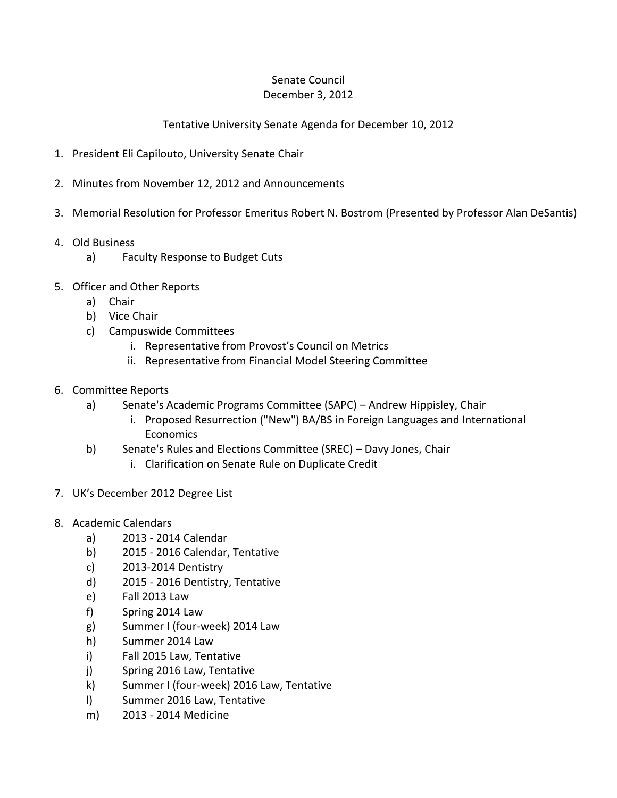## Senate Council December 3, 2012

## Tentative University Senate Agenda for December 10, 2012

- 1. President Eli Capilouto, University Senate Chair
- 2. Minutes from November 12, 2012 and Announcements
- 3. Memorial Resolution for Professor Emeritus Robert N. Bostrom (Presented by Professor Alan DeSantis)
- 4. Old Business
	- a) Faculty Response to Budget Cuts
- 5. Officer and Other Reports
	- a) Chair
	- b) Vice Chair
	- c) Campuswide Committees
		- i. Representative from Provost's Council on Metrics
		- ii. Representative from Financial Model Steering Committee
- 6. Committee Reports
	- a) Senate's Academic Programs Committee (SAPC) Andrew Hippisley, Chair
		- i. Proposed Resurrection ("New") BA/BS in Foreign Languages and International **Economics**
	- b) Senate's Rules and Elections Committee (SREC) Davy Jones, Chair
		- i. Clarification on Senate Rule on Duplicate Credit
- 7. UK's December 2012 Degree List
- 8. Academic Calendars
	- a) 2013 2014 Calendar
	- b) 2015 2016 Calendar, Tentative
	- c) 2013-2014 Dentistry
	- d) 2015 2016 Dentistry, Tentative
	- e) Fall 2013 Law
	- f) Spring 2014 Law
	- g) Summer I (four-week) 2014 Law
	- h) Summer 2014 Law
	- i) Fall 2015 Law, Tentative
	- j) Spring 2016 Law, Tentative
	- k) Summer I (four-week) 2016 Law, Tentative
	- l) Summer 2016 Law, Tentative
	- m) 2013 2014 Medicine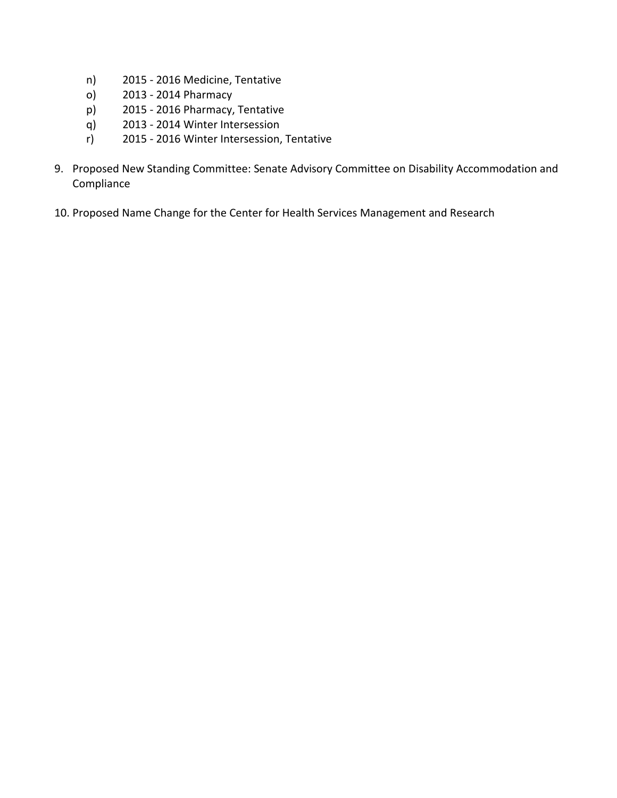- n) 2015 2016 Medicine, Tentative
- o) 2013 2014 Pharmacy
- p) 2015 2016 Pharmacy, Tentative
- q) 2013 2014 Winter Intersession
- r) 2015 2016 Winter Intersession, Tentative
- 9. Proposed New Standing Committee: Senate Advisory Committee on Disability Accommodation and Compliance
- 10. Proposed Name Change for the Center for Health Services Management and Research